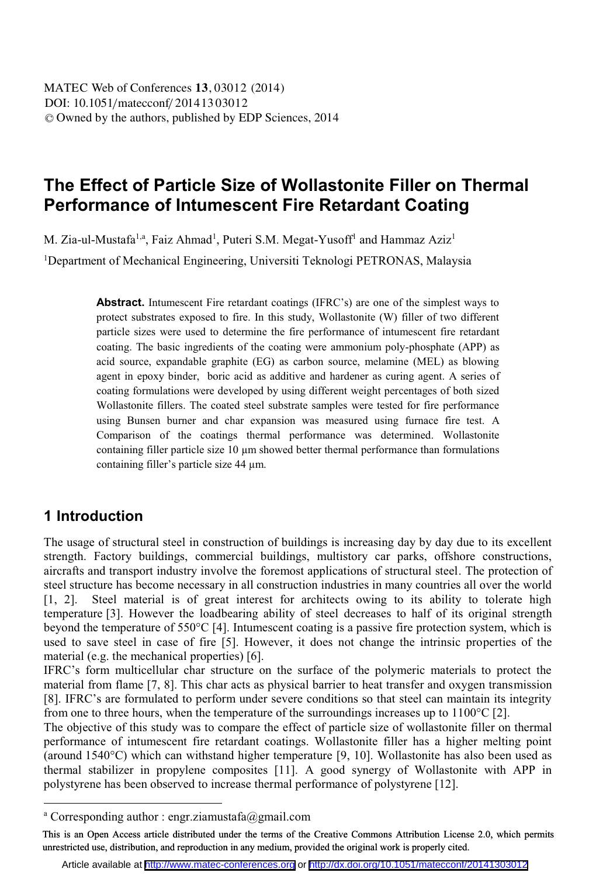# **The Effect of Particle Size of Wollastonite Filler on Thermal Performance of Intumescent Fire Retardant Coating**

M. Zia-ul-Mustafa<sup>1,a</sup>, Faiz Ahmad<sup>1</sup>, Puteri S.M. Megat-Yusoff<sup>1</sup> and Hammaz Aziz<sup>1</sup>

<sup>1</sup>Department of Mechanical Engineering, Universiti Teknologi PETRONAS, Malaysia

**Abstract.** Intumescent Fire retardant coatings (IFRC's) are one of the simplest ways to protect substrates exposed to fire. In this study, Wollastonite (W) filler of two different particle sizes were used to determine the fire performance of intumescent fire retardant coating. The basic ingredients of the coating were ammonium poly-phosphate (APP) as acid source, expandable graphite (EG) as carbon source, melamine (MEL) as blowing agent in epoxy binder, boric acid as additive and hardener as curing agent. A series of coating formulations were developed by using different weight percentages of both sized Wollastonite fillers. The coated steel substrate samples were tested for fire performance using Bunsen burner and char expansion was measured using furnace fire test. A Comparison of the coatings thermal performance was determined. Wollastonite containing filler particle size 10 µm showed better thermal performance than formulations containing filler's particle size 44 μm.

### **1 Introduction**

l

The usage of structural steel in construction of buildings is increasing day by day due to its excellent strength. Factory buildings, commercial buildings, multistory car parks, offshore constructions, aircrafts and transport industry involve the foremost applications of structural steel. The protection of steel structure has become necessary in all construction industries in many countries all over the world [1, 2]. Steel material is of great interest for architects owing to its ability to tolerate high temperature [3]. However the loadbearing ability of steel decreases to half of its original strength beyond the temperature of 550°C [4]. Intumescent coating is a passive fire protection system, which is used to save steel in case of fire [5]. However, it does not change the intrinsic properties of the material (e.g. the mechanical properties) [6].

IFRC's form multicellular char structure on the surface of the polymeric materials to protect the material from flame [7, 8]. This char acts as physical barrier to heat transfer and oxygen transmission [8]. IFRC's are formulated to perform under severe conditions so that steel can maintain its integrity from one to three hours, when the temperature of the surroundings increases up to  $1100^{\circ}C$  [2].

The objective of this study was to compare the effect of particle size of wollastonite filler on thermal performance of intumescent fire retardant coatings. Wollastonite filler has a higher melting point (around 1540°C) which can withstand higher temperature [9, 10]. Wollastonite has also been used as thermal stabilizer in propylene composites [11]. A good synergy of Wollastonite with APP in polystyrene has been observed to increase thermal performance of polystyrene [12].

a Corresponding author : engr.ziamustafa@gmail.com

This is an Open Access article distributed under the terms of the Creative Commons Attribution License 2.0, which permits unrestricted use, distribution, and reproduction in any medium, provided the original work is properly cited.

Article available at <http://www.matec-conferences.org> or <http://dx.doi.org/10.1051/matecconf/20141303012>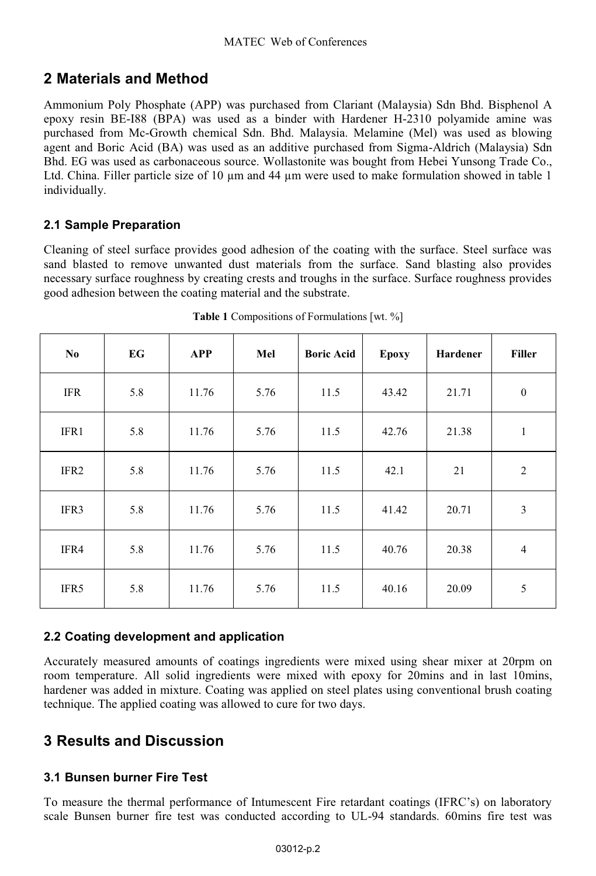## **2 Materials and Method**

Ammonium Poly Phosphate (APP) was purchased from Clariant (Malaysia) Sdn Bhd. Bisphenol A epoxy resin BE-I88 (BPA) was used as a binder with Hardener H-2310 polyamide amine was purchased from Mc-Growth chemical Sdn. Bhd. Malaysia. Melamine (Mel) was used as blowing agent and Boric Acid (BA) was used as an additive purchased from Sigma-Aldrich (Malaysia) Sdn Bhd. EG was used as carbonaceous source. Wollastonite was bought from Hebei Yunsong Trade Co., Ltd. China. Filler particle size of 10  $\mu$ m and 44  $\mu$ m were used to make formulation showed in table 1 individually.

#### **2.1Sample Preparation**

Cleaning of steel surface provides good adhesion of the coating with the surface. Steel surface was sand blasted to remove unwanted dust materials from the surface. Sand blasting also provides necessary surface roughness by creating crests and troughs in the surface. Surface roughness provides good adhesion between the coating material and the substrate.

| N <sub>0</sub>   | EG  | <b>APP</b> | Mel  | <b>Boric Acid</b> | <b>Epoxy</b> | Hardener | <b>Filler</b>  |
|------------------|-----|------------|------|-------------------|--------------|----------|----------------|
| <b>IFR</b>       | 5.8 | 11.76      | 5.76 | 11.5              | 43.42        | 21.71    | $\bf{0}$       |
| IFR1             | 5.8 | 11.76      | 5.76 | 11.5              | 42.76        | 21.38    | $\mathbf{1}$   |
| IFR <sub>2</sub> | 5.8 | 11.76      | 5.76 | 11.5              | 42.1         | 21       | $\overline{2}$ |
| IFR3             | 5.8 | 11.76      | 5.76 | 11.5              | 41.42        | 20.71    | $\mathfrak{Z}$ |
| IFR4             | 5.8 | 11.76      | 5.76 | 11.5              | 40.76        | 20.38    | $\overline{4}$ |
| IFR5             | 5.8 | 11.76      | 5.76 | 11.5              | 40.16        | 20.09    | 5              |

**Table 1** Compositions of Formulations [wt. %]

#### **2.2Coating development and application**

Accurately measured amounts of coatings ingredients were mixed using shear mixer at 20rpm on room temperature. All solid ingredients were mixed with epoxy for 20mins and in last 10mins, hardener was added in mixture. Coating was applied on steel plates using conventional brush coating technique. The applied coating was allowed to cure for two days.

## **3 Results and Discussion**

#### **3.1Bunsen burner Fire Test**

To measure the thermal performance of Intumescent Fire retardant coatings (IFRC's) on laboratory scale Bunsen burner fire test was conducted according to UL-94 standards. 60mins fire test was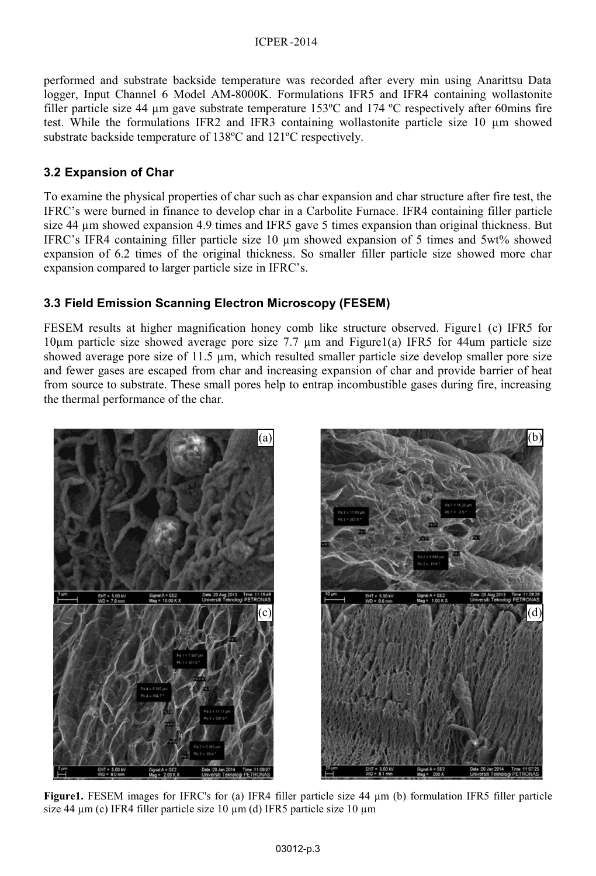performed and substrate backside temperature was recorded after every min using Anarittsu Data logger, Input Channel 6 Model AM-8000K. Formulations IFR5 and IFR4 containing wollastonite filler particle size 44 µm gave substrate temperature 153ºC and 174 ºC respectively after 60mins fire test. While the formulations IFR2 and IFR3 containing wollastonite particle size  $10 \mu m$  showed substrate backside temperature of 138ºC and 121ºC respectively.

#### **3.2Expansion of Char**

To examine the physical properties of char such as char expansion and char structure after fire test, the IFRC's were burned in finance to develop char in a Carbolite Furnace. IFR4 containing filler particle size 44  $\mu$ m showed expansion 4.9 times and IFR5 gave 5 times expansion than original thickness. But IFRC's IFR4 containing filler particle size 10 µm showed expansion of 5 times and 5wt% showed expansion of 6.2 times of the original thickness. So smaller filler particle size showed more char expansion compared to larger particle size in IFRC's.

#### **3.3Field Emission Scanning Electron Microscopy (FESEM)**

FESEM results at higher magnification honey comb like structure observed. Figure1 (c) IFR5 for  $10\mu$ m particle size showed average pore size 7.7  $\mu$ m and Figure1(a) IFR5 for 44um particle size showed average pore size of 11.5 µm, which resulted smaller particle size develop smaller pore size and fewer gases are escaped from char and increasing expansion of char and provide barrier of heat from source to substrate. These small pores help to entrap incombustible gases during fire, increasing the thermal performance of the char.



**Figure1.** FESEM images for IFRC's for (a) IFR4 filler particle size 44 µm (b) formulation IFR5 filler particle size 44  $\mu$ m (c) IFR4 filler particle size 10  $\mu$ m (d) IFR5 particle size 10  $\mu$ m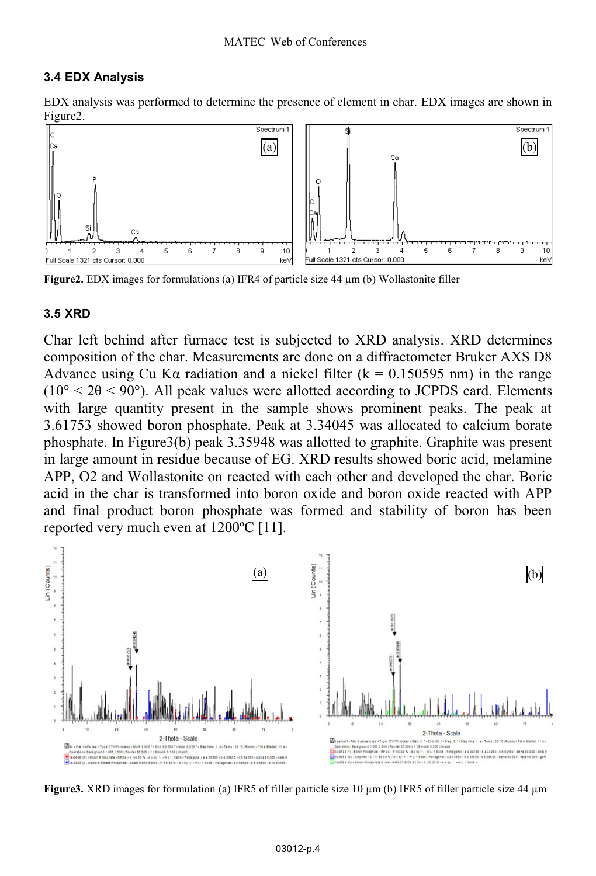#### **3.4EDX Analysis**

EDX analysis was performed to determine the presence of element in char. EDX images are shown in Figure2.



**Figure2.** EDX images for formulations (a) IFR4 of particle size 44 µm (b) Wollastonite filler

#### **3.5XRD**

Char left behind after furnace test is subjected to XRD analysis. XRD determines composition of the char. Measurements are done on a diffractometer Bruker AXS D8 Advance using Cu K $\alpha$  radiation and a nickel filter (k = 0.150595 nm) in the range  $(10^{\circ} < 20 < 90^{\circ})$ . All peak values were allotted according to JCPDS card. Elements with large quantity present in the sample shows prominent peaks. The peak at 3.61753 showed boron phosphate. Peak at 3.34045 was allocated to calcium borate phosphate. In Figure3(b) peak 3.35948 was allotted to graphite. Graphite was present in large amount in residue because of EG. XRD results showed boric acid, melamine APP, O2 and Wollastonite on reacted with each other and developed the char. Boric acid in the char is transformed into boron oxide and boron oxide reacted with APP and final product boron phosphate was formed and stability of boron has been reported very much even at 1200ºC [11].



**Figure3.** XRD images for formulation (a) IFR5 of filler particle size 10 µm (b) IFR5 of filler particle size 44 µm